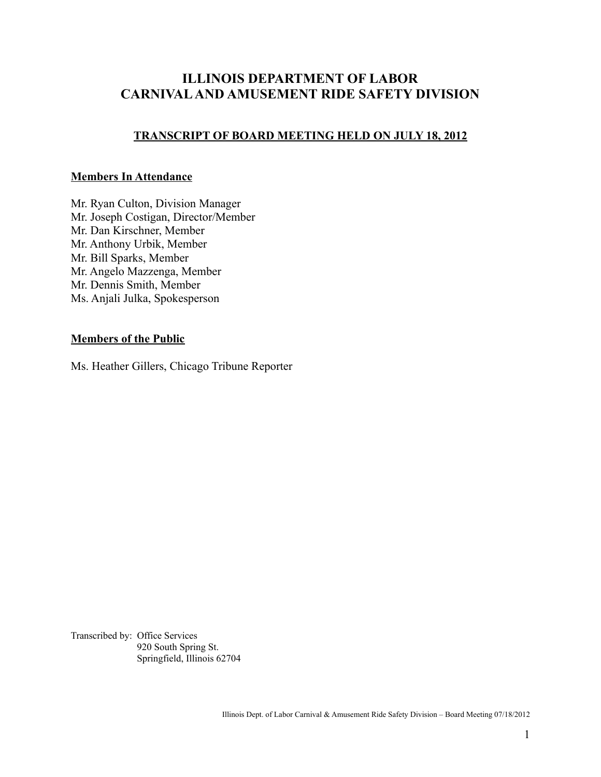# **ILLINOIS DEPARTMENT OF LABOR CARNIVAL AND AMUSEMENT RIDE SAFETY DIVISION**

## **TRANSCRIPT OF BOARD MEETING HELD ON JULY 18, 2012**

### **Members In Attendance**

Mr. Ryan Culton, Division Manager Mr. Joseph Costigan, Director/Member Mr. Dan Kirschner, Member Mr. Anthony Urbik, Member Mr. Bill Sparks, Member Mr. Angelo Mazzenga, Member Mr. Dennis Smith, Member Ms. Anjali Julka, Spokesperson

#### **Members of the Public**

Ms. Heather Gillers, Chicago Tribune Reporter

Transcribed by: Office Services 920 South Spring St. Springfield, Illinois 62704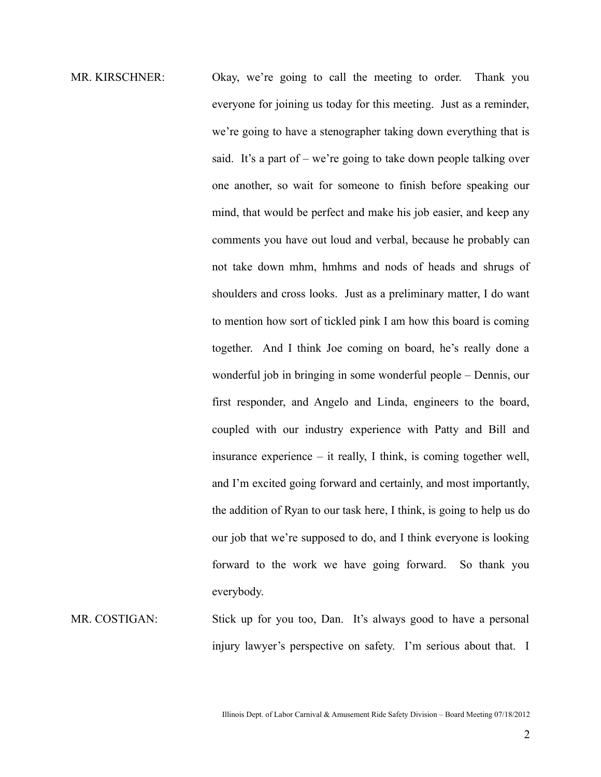- MR. KIRSCHNER: Okay, we're going to call the meeting to order. Thank you everyone for joining us today for this meeting. Just as a reminder, we're going to have a stenographer taking down everything that is said. It's a part of – we're going to take down people talking over one another, so wait for someone to finish before speaking our mind, that would be perfect and make his job easier, and keep any comments you have out loud and verbal, because he probably can not take down mhm, hmhms and nods of heads and shrugs of shoulders and cross looks. Just as a preliminary matter, I do want to mention how sort of tickled pink I am how this board is coming together. And I think Joe coming on board, he's really done a wonderful job in bringing in some wonderful people – Dennis, our first responder, and Angelo and Linda, engineers to the board, coupled with our industry experience with Patty and Bill and insurance experience – it really, I think, is coming together well, and I'm excited going forward and certainly, and most importantly, the addition of Ryan to our task here, I think, is going to help us do our job that we're supposed to do, and I think everyone is looking forward to the work we have going forward. So thank you everybody.
- MR. COSTIGAN: Stick up for you too, Dan. It's always good to have a personal injury lawyer's perspective on safety. I'm serious about that. I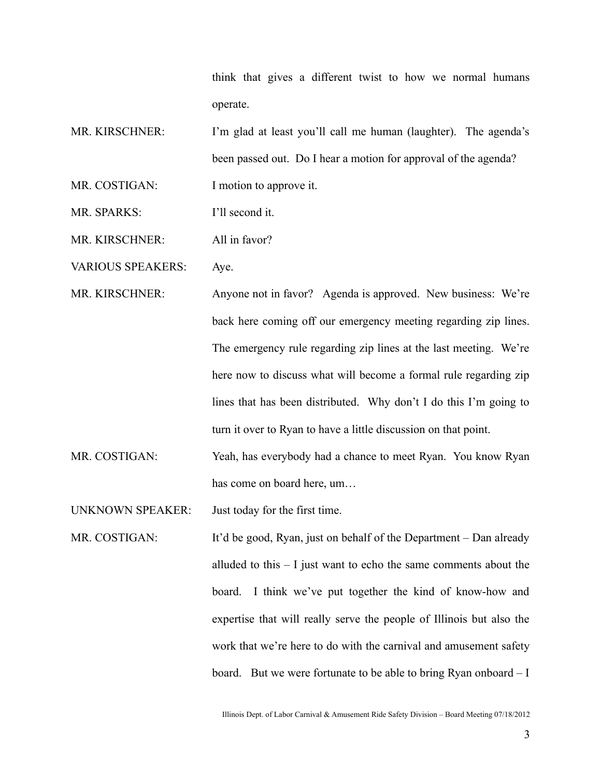think that gives a different twist to how we normal humans operate.

- MR. KIRSCHNER: I'm glad at least you'll call me human (laughter). The agenda's been passed out. Do I hear a motion for approval of the agenda? MR. COSTIGAN: I motion to approve it.
- MR. SPARKS: I'll second it.

MR. KIRSCHNER: All in favor?

VARIOUS SPEAKERS: Aye.

- MR. KIRSCHNER: Anyone not in favor? Agenda is approved. New business: We're back here coming off our emergency meeting regarding zip lines. The emergency rule regarding zip lines at the last meeting. We're here now to discuss what will become a formal rule regarding zip lines that has been distributed. Why don't I do this I'm going to turn it over to Ryan to have a little discussion on that point.
- MR. COSTIGAN: Yeah, has everybody had a chance to meet Ryan. You know Ryan has come on board here, um…

UNKNOWN SPEAKER: Just today for the first time.

MR. COSTIGAN: It'd be good, Ryan, just on behalf of the Department – Dan already alluded to this – I just want to echo the same comments about the board. I think we've put together the kind of know-how and expertise that will really serve the people of Illinois but also the work that we're here to do with the carnival and amusement safety board. But we were fortunate to be able to bring Ryan onboard – I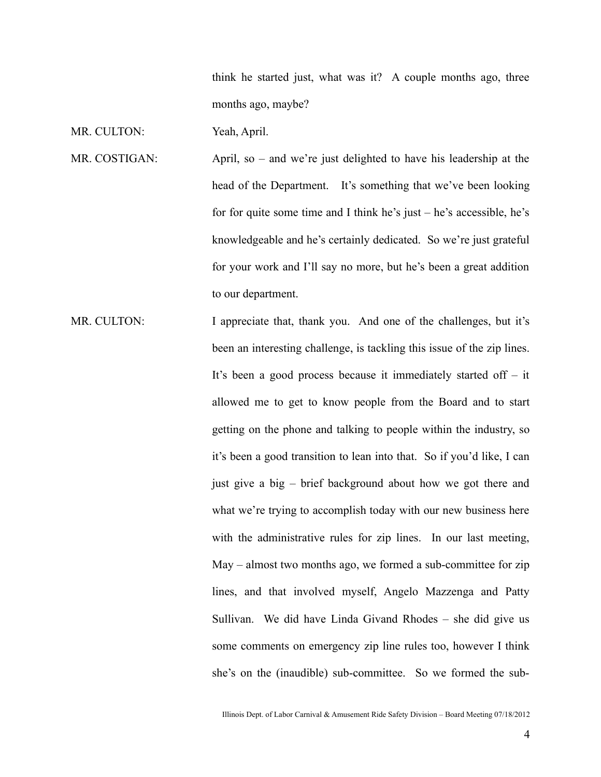think he started just, what was it? A couple months ago, three months ago, maybe?

MR. CULTON: Yeah, April.

- MR. COSTIGAN: April, so and we're just delighted to have his leadership at the head of the Department. It's something that we've been looking for for quite some time and I think he's just  $-$  he's accessible, he's knowledgeable and he's certainly dedicated. So we're just grateful for your work and I'll say no more, but he's been a great addition to our department.
- MR. CULTON: I appreciate that, thank you. And one of the challenges, but it's been an interesting challenge, is tackling this issue of the zip lines. It's been a good process because it immediately started off – it allowed me to get to know people from the Board and to start getting on the phone and talking to people within the industry, so it's been a good transition to lean into that. So if you'd like, I can just give a big – brief background about how we got there and what we're trying to accomplish today with our new business here with the administrative rules for zip lines. In our last meeting, May – almost two months ago, we formed a sub-committee for zip lines, and that involved myself, Angelo Mazzenga and Patty Sullivan. We did have Linda Givand Rhodes – she did give us some comments on emergency zip line rules too, however I think she's on the (inaudible) sub-committee. So we formed the sub-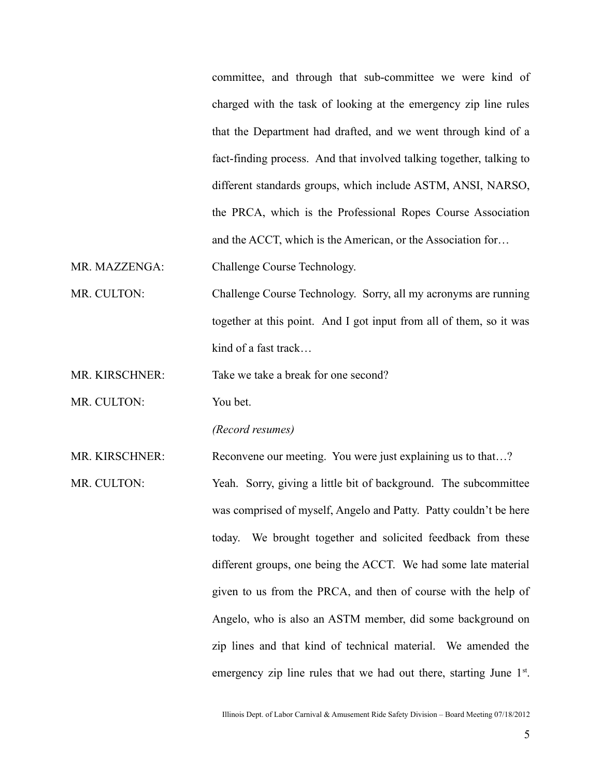committee, and through that sub-committee we were kind of charged with the task of looking at the emergency zip line rules that the Department had drafted, and we went through kind of a fact-finding process. And that involved talking together, talking to different standards groups, which include ASTM, ANSI, NARSO, the PRCA, which is the Professional Ropes Course Association and the ACCT, which is the American, or the Association for…

MR. MAZZENGA: Challenge Course Technology.

MR. CULTON: Challenge Course Technology. Sorry, all my acronyms are running together at this point. And I got input from all of them, so it was kind of a fast track…

MR. KIRSCHNER: Take we take a break for one second?

MR. CULTON: You bet.

*(Record resumes)*

MR. KIRSCHNER: Reconvene our meeting. You were just explaining us to that...?

MR. CULTON: Yeah. Sorry, giving a little bit of background. The subcommittee was comprised of myself, Angelo and Patty. Patty couldn't be here today. We brought together and solicited feedback from these different groups, one being the ACCT. We had some late material given to us from the PRCA, and then of course with the help of Angelo, who is also an ASTM member, did some background on zip lines and that kind of technical material. We amended the emergency zip line rules that we had out there, starting June  $1<sup>st</sup>$ .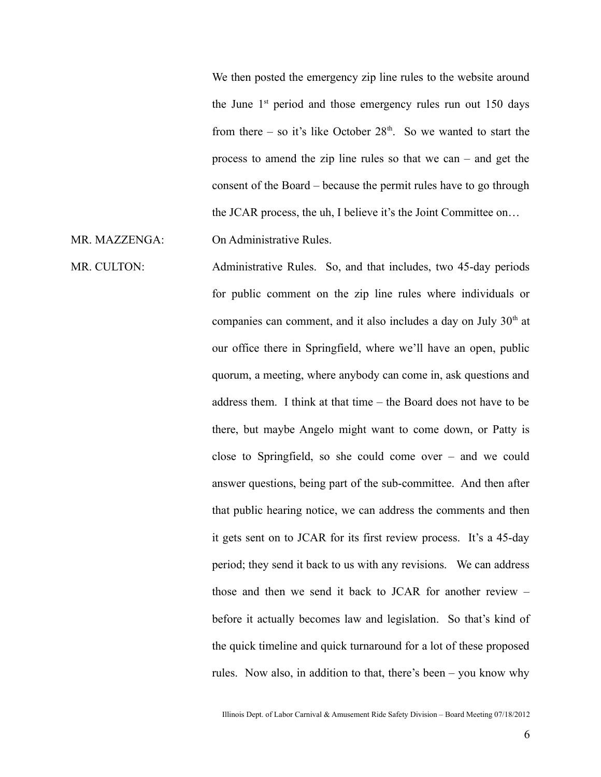We then posted the emergency zip line rules to the website around the June  $1<sup>st</sup>$  period and those emergency rules run out 150 days from there – so it's like October  $28<sup>th</sup>$ . So we wanted to start the process to amend the zip line rules so that we can – and get the consent of the Board – because the permit rules have to go through the JCAR process, the uh, I believe it's the Joint Committee on…

MR. MAZZENGA: On Administrative Rules.

MR. CULTON: Administrative Rules. So, and that includes, two 45-day periods for public comment on the zip line rules where individuals or companies can comment, and it also includes a day on July  $30<sup>th</sup>$  at our office there in Springfield, where we'll have an open, public quorum, a meeting, where anybody can come in, ask questions and address them. I think at that time – the Board does not have to be there, but maybe Angelo might want to come down, or Patty is close to Springfield, so she could come over – and we could answer questions, being part of the sub-committee. And then after that public hearing notice, we can address the comments and then it gets sent on to JCAR for its first review process. It's a 45-day period; they send it back to us with any revisions. We can address those and then we send it back to JCAR for another review – before it actually becomes law and legislation. So that's kind of the quick timeline and quick turnaround for a lot of these proposed rules. Now also, in addition to that, there's been – you know why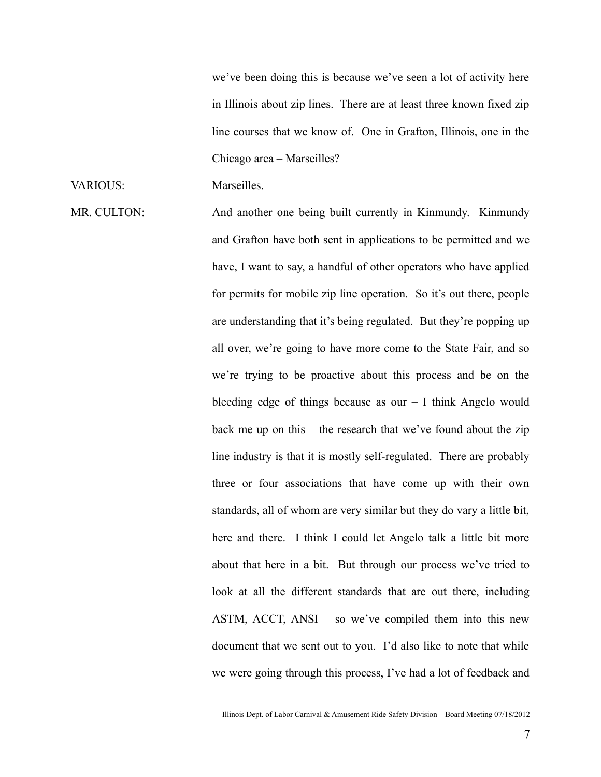we've been doing this is because we've seen a lot of activity here in Illinois about zip lines. There are at least three known fixed zip line courses that we know of. One in Grafton, Illinois, one in the Chicago area – Marseilles?

### VARIOUS: Marseilles.

MR. CULTON: And another one being built currently in Kinmundy. Kinmundy and Grafton have both sent in applications to be permitted and we have, I want to say, a handful of other operators who have applied for permits for mobile zip line operation. So it's out there, people are understanding that it's being regulated. But they're popping up all over, we're going to have more come to the State Fair, and so we're trying to be proactive about this process and be on the bleeding edge of things because as our  $-1$  think Angelo would back me up on this – the research that we've found about the zip line industry is that it is mostly self-regulated. There are probably three or four associations that have come up with their own standards, all of whom are very similar but they do vary a little bit, here and there. I think I could let Angelo talk a little bit more about that here in a bit. But through our process we've tried to look at all the different standards that are out there, including ASTM, ACCT, ANSI – so we've compiled them into this new document that we sent out to you. I'd also like to note that while we were going through this process, I've had a lot of feedback and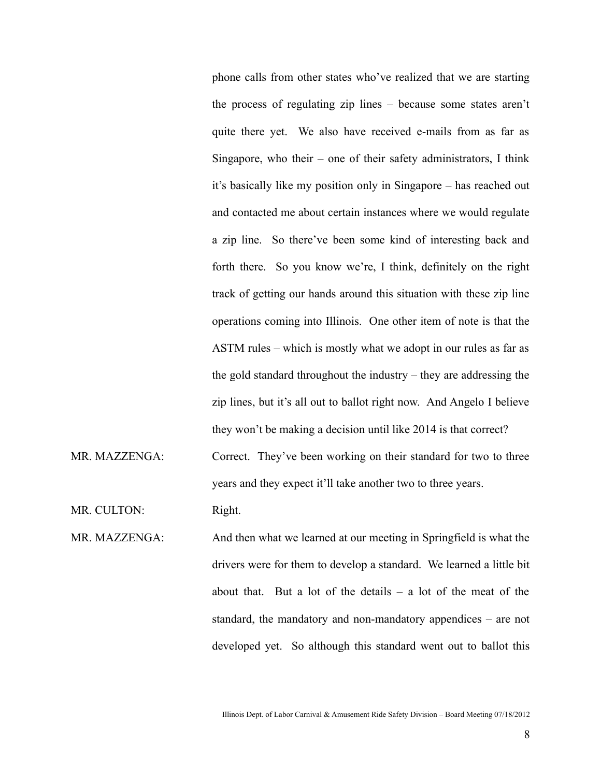phone calls from other states who've realized that we are starting the process of regulating zip lines – because some states aren't quite there yet. We also have received e-mails from as far as Singapore, who their – one of their safety administrators, I think it's basically like my position only in Singapore – has reached out and contacted me about certain instances where we would regulate a zip line. So there've been some kind of interesting back and forth there. So you know we're, I think, definitely on the right track of getting our hands around this situation with these zip line operations coming into Illinois. One other item of note is that the ASTM rules – which is mostly what we adopt in our rules as far as the gold standard throughout the industry – they are addressing the zip lines, but it's all out to ballot right now. And Angelo I believe they won't be making a decision until like 2014 is that correct?

MR. MAZZENGA: Correct. They've been working on their standard for two to three years and they expect it'll take another two to three years.

MR. CULTON: Right.

MR. MAZZENGA: And then what we learned at our meeting in Springfield is what the drivers were for them to develop a standard. We learned a little bit about that. But a lot of the details  $-$  a lot of the meat of the standard, the mandatory and non-mandatory appendices – are not developed yet. So although this standard went out to ballot this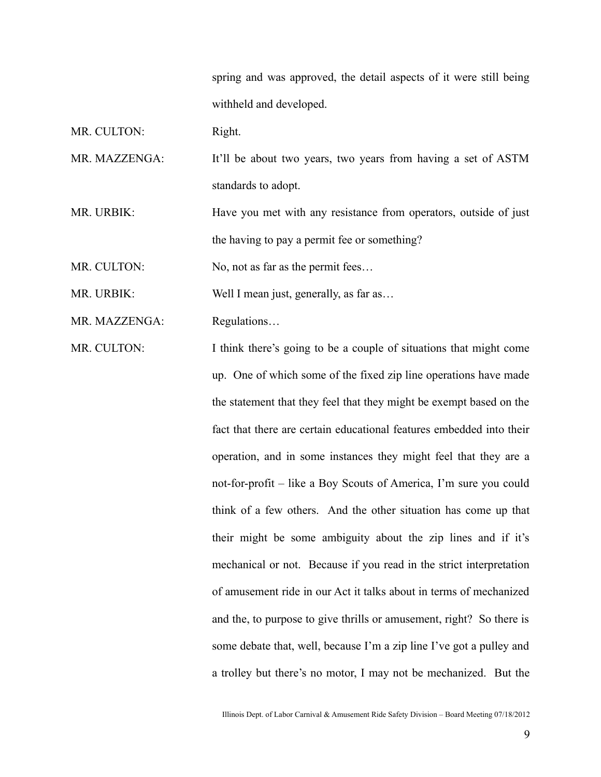spring and was approved, the detail aspects of it were still being withheld and developed.

MR. CULTON: Right.

MR. MAZZENGA: It'll be about two years, two years from having a set of ASTM standards to adopt.

MR. URBIK: Have you met with any resistance from operators, outside of just the having to pay a permit fee or something?

MR. CULTON: No, not as far as the permit fees...

MR. URBIK: Well I mean just, generally, as far as...

MR. MAZZENGA: Regulations...

MR. CULTON: I think there's going to be a couple of situations that might come up. One of which some of the fixed zip line operations have made the statement that they feel that they might be exempt based on the fact that there are certain educational features embedded into their operation, and in some instances they might feel that they are a not-for-profit – like a Boy Scouts of America, I'm sure you could think of a few others. And the other situation has come up that their might be some ambiguity about the zip lines and if it's mechanical or not. Because if you read in the strict interpretation of amusement ride in our Act it talks about in terms of mechanized and the, to purpose to give thrills or amusement, right? So there is some debate that, well, because I'm a zip line I've got a pulley and a trolley but there's no motor, I may not be mechanized. But the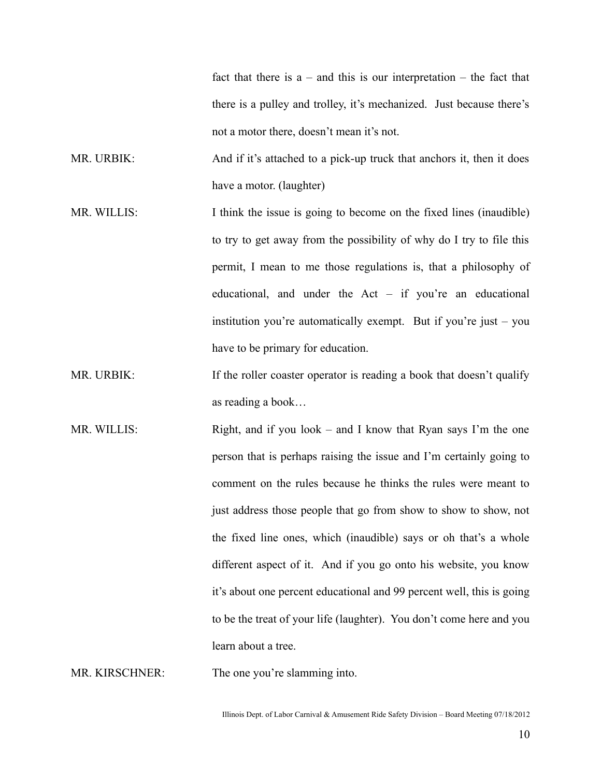fact that there is  $a$  – and this is our interpretation – the fact that there is a pulley and trolley, it's mechanized. Just because there's not a motor there, doesn't mean it's not.

MR. URBIK: And if it's attached to a pick-up truck that anchors it, then it does have a motor. (laughter)

- MR. WILLIS: I think the issue is going to become on the fixed lines (inaudible) to try to get away from the possibility of why do I try to file this permit, I mean to me those regulations is, that a philosophy of educational, and under the Act – if you're an educational institution you're automatically exempt. But if you're just – you have to be primary for education.
- MR. URBIK: If the roller coaster operator is reading a book that doesn't qualify as reading a book…
- MR. WILLIS: Right, and if you look and I know that Ryan says I'm the one person that is perhaps raising the issue and I'm certainly going to comment on the rules because he thinks the rules were meant to just address those people that go from show to show to show, not the fixed line ones, which (inaudible) says or oh that's a whole different aspect of it. And if you go onto his website, you know it's about one percent educational and 99 percent well, this is going to be the treat of your life (laughter). You don't come here and you learn about a tree.

MR. KIRSCHNER: The one you're slamming into.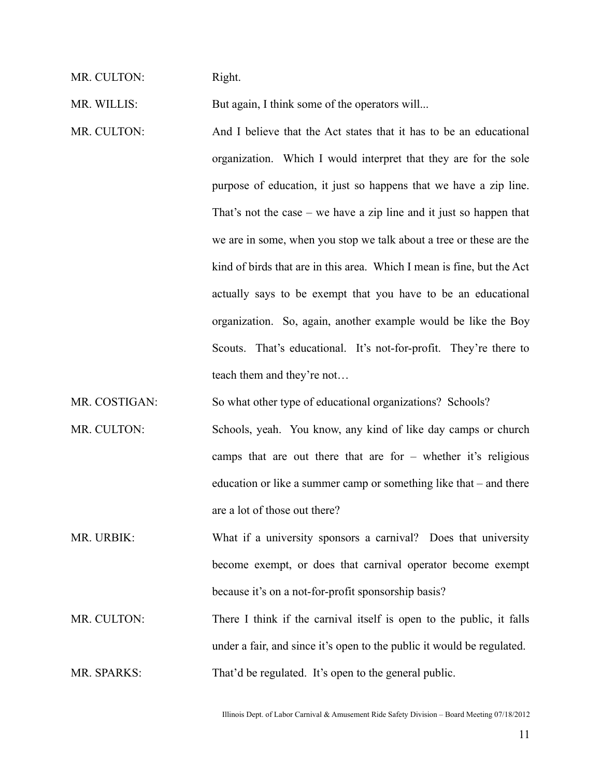MR. CULTON: Right.

MR. WILLIS: But again, I think some of the operators will...

MR. CULTON: And I believe that the Act states that it has to be an educational organization. Which I would interpret that they are for the sole purpose of education, it just so happens that we have a zip line. That's not the case – we have a zip line and it just so happen that we are in some, when you stop we talk about a tree or these are the kind of birds that are in this area. Which I mean is fine, but the Act actually says to be exempt that you have to be an educational organization. So, again, another example would be like the Boy Scouts. That's educational. It's not-for-profit. They're there to teach them and they're not…

MR. COSTIGAN: So what other type of educational organizations? Schools?

- MR. CULTON: Schools, yeah. You know, any kind of like day camps or church camps that are out there that are for – whether it's religious education or like a summer camp or something like that – and there are a lot of those out there?
- MR. URBIK: What if a university sponsors a carnival? Does that university become exempt, or does that carnival operator become exempt because it's on a not-for-profit sponsorship basis?
- MR. CULTON: There I think if the carnival itself is open to the public, it falls under a fair, and since it's open to the public it would be regulated. MR. SPARKS: That'd be regulated. It's open to the general public.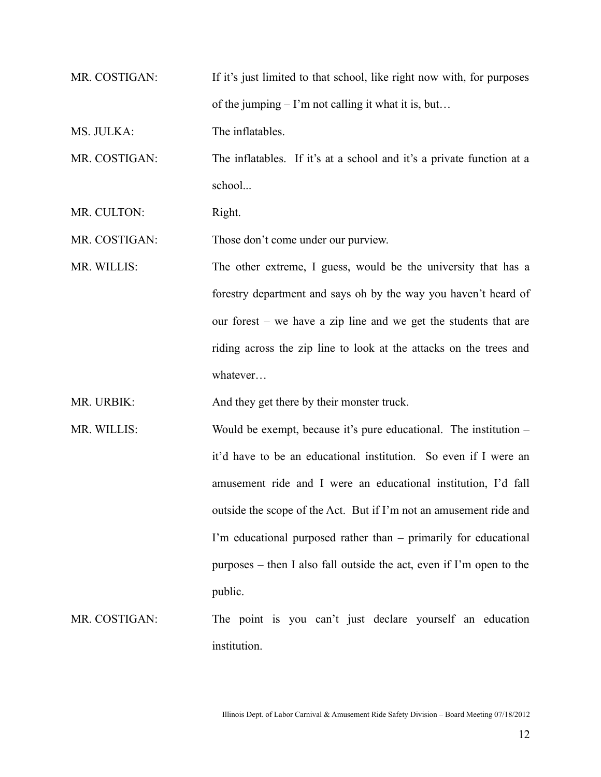- MR. COSTIGAN: If it's just limited to that school, like right now with, for purposes of the jumping  $-1$ 'm not calling it what it is, but...
- MS. JULKA: The inflatables.

MR. COSTIGAN: The inflatables. If it's at a school and it's a private function at a school...

MR. CULTON: Right.

MR. COSTIGAN: Those don't come under our purview.

MR. WILLIS: The other extreme, I guess, would be the university that has a forestry department and says oh by the way you haven't heard of our forest – we have a zip line and we get the students that are riding across the zip line to look at the attacks on the trees and whatever…

MR. URBIK: And they get there by their monster truck.

- MR. WILLIS: Would be exempt, because it's pure educational. The institution it'd have to be an educational institution. So even if I were an amusement ride and I were an educational institution, I'd fall outside the scope of the Act. But if I'm not an amusement ride and I'm educational purposed rather than – primarily for educational purposes – then I also fall outside the act, even if I'm open to the public.
- MR. COSTIGAN: The point is you can't just declare yourself an education institution.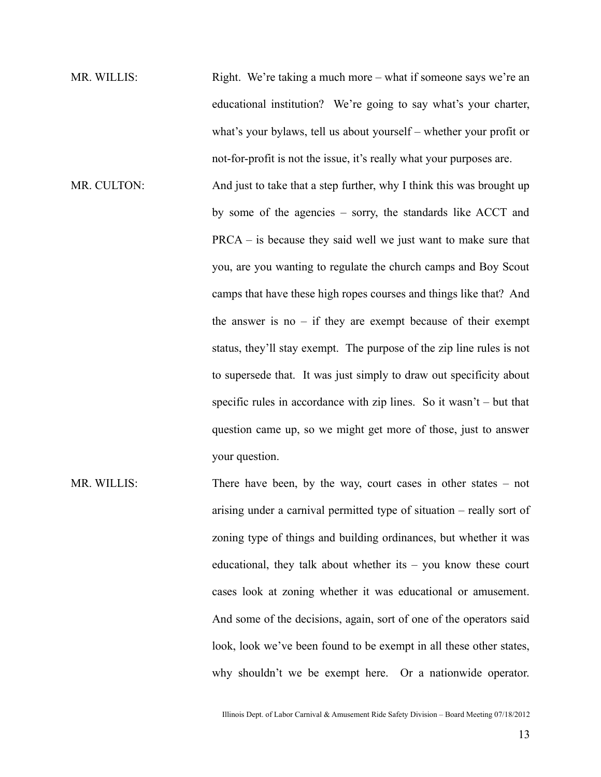- MR. WILLIS: Right. We're taking a much more what if someone says we're an educational institution? We're going to say what's your charter, what's your bylaws, tell us about yourself – whether your profit or not-for-profit is not the issue, it's really what your purposes are. MR. CULTON: And just to take that a step further, why I think this was brought up by some of the agencies – sorry, the standards like ACCT and PRCA – is because they said well we just want to make sure that you, are you wanting to regulate the church camps and Boy Scout camps that have these high ropes courses and things like that? And the answer is no  $-$  if they are exempt because of their exempt status, they'll stay exempt. The purpose of the zip line rules is not to supersede that. It was just simply to draw out specificity about specific rules in accordance with zip lines. So it wasn't – but that question came up, so we might get more of those, just to answer your question.
- MR. WILLIS: There have been, by the way, court cases in other states not arising under a carnival permitted type of situation – really sort of zoning type of things and building ordinances, but whether it was educational, they talk about whether its – you know these court cases look at zoning whether it was educational or amusement. And some of the decisions, again, sort of one of the operators said look, look we've been found to be exempt in all these other states, why shouldn't we be exempt here. Or a nationwide operator.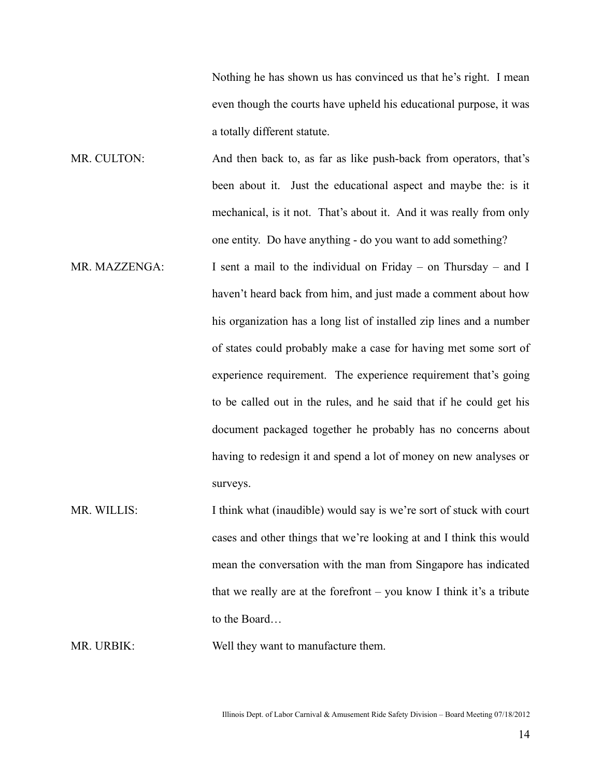Nothing he has shown us has convinced us that he's right. I mean even though the courts have upheld his educational purpose, it was a totally different statute.

- MR. CULTON: And then back to, as far as like push-back from operators, that's been about it. Just the educational aspect and maybe the: is it mechanical, is it not. That's about it. And it was really from only one entity. Do have anything - do you want to add something?
- MR. MAZZENGA: I sent a mail to the individual on Friday on Thursday and I haven't heard back from him, and just made a comment about how his organization has a long list of installed zip lines and a number of states could probably make a case for having met some sort of experience requirement. The experience requirement that's going to be called out in the rules, and he said that if he could get his document packaged together he probably has no concerns about having to redesign it and spend a lot of money on new analyses or surveys.
- MR. WILLIS: I think what (inaudible) would say is we're sort of stuck with court cases and other things that we're looking at and I think this would mean the conversation with the man from Singapore has indicated that we really are at the forefront – you know I think it's a tribute to the Board…

MR. URBIK: Well they want to manufacture them.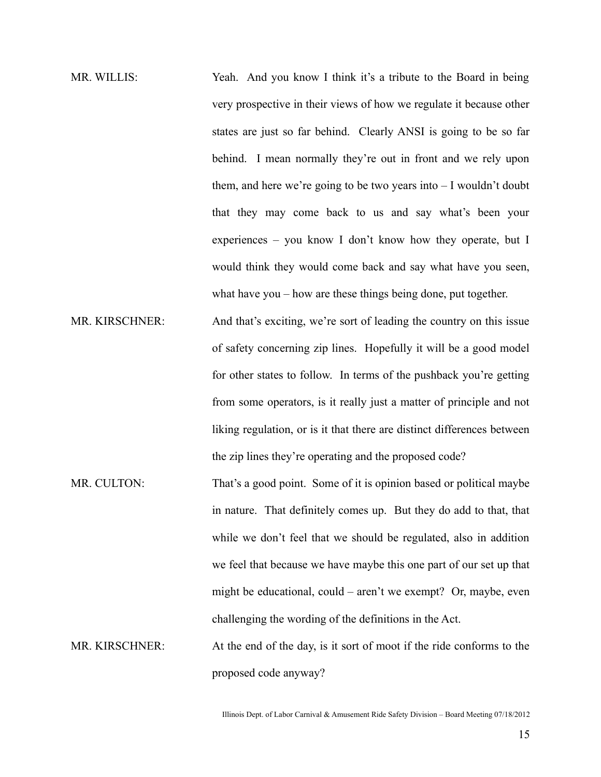MR. WILLIS: Yeah. And you know I think it's a tribute to the Board in being very prospective in their views of how we regulate it because other states are just so far behind. Clearly ANSI is going to be so far behind. I mean normally they're out in front and we rely upon them, and here we're going to be two years into – I wouldn't doubt that they may come back to us and say what's been your experiences – you know I don't know how they operate, but I would think they would come back and say what have you seen, what have you – how are these things being done, put together.

- MR. KIRSCHNER: And that's exciting, we're sort of leading the country on this issue of safety concerning zip lines. Hopefully it will be a good model for other states to follow. In terms of the pushback you're getting from some operators, is it really just a matter of principle and not liking regulation, or is it that there are distinct differences between the zip lines they're operating and the proposed code?
- MR. CULTON: That's a good point. Some of it is opinion based or political maybe in nature. That definitely comes up. But they do add to that, that while we don't feel that we should be regulated, also in addition we feel that because we have maybe this one part of our set up that might be educational, could – aren't we exempt? Or, maybe, even challenging the wording of the definitions in the Act.

MR. KIRSCHNER: At the end of the day, is it sort of moot if the ride conforms to the proposed code anyway?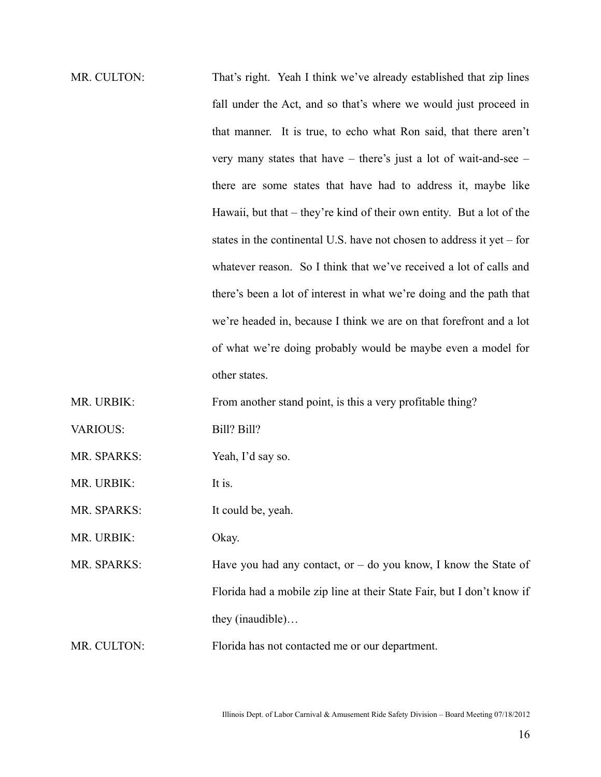MR. CULTON: That's right. Yeah I think we've already established that zip lines fall under the Act, and so that's where we would just proceed in that manner. It is true, to echo what Ron said, that there aren't very many states that have – there's just a lot of wait-and-see – there are some states that have had to address it, maybe like Hawaii, but that – they're kind of their own entity. But a lot of the states in the continental U.S. have not chosen to address it yet – for whatever reason. So I think that we've received a lot of calls and there's been a lot of interest in what we're doing and the path that we're headed in, because I think we are on that forefront and a lot of what we're doing probably would be maybe even a model for other states. MR. URBIK: From another stand point, is this a very profitable thing? VARIOUS: Bill? Bill? MR. SPARKS: Yeah, I'd say so. MR. URBIK: It is. MR. SPARKS: It could be, yeah.

MR. URBIK: Okay.

MR. SPARKS: Have you had any contact, or – do you know, I know the State of Florida had a mobile zip line at their State Fair, but I don't know if they (inaudible)…

MR. CULTON: Florida has not contacted me or our department.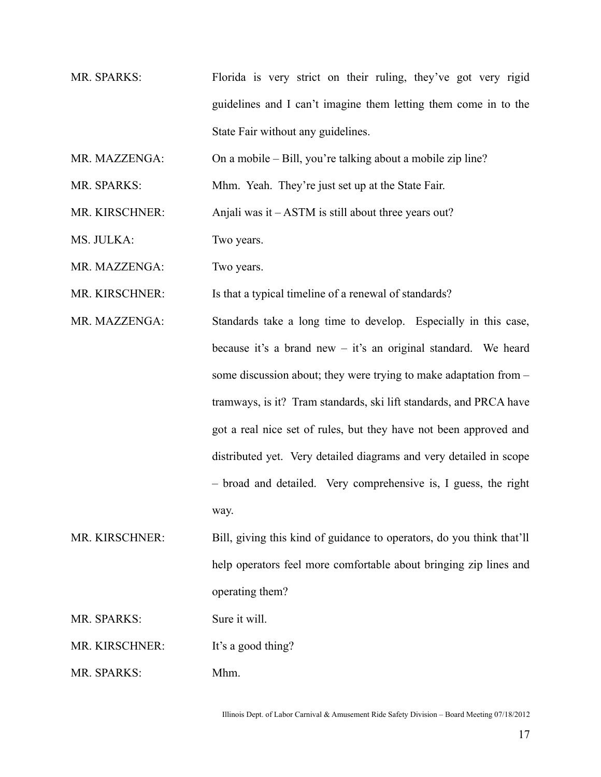- MR. SPARKS: Florida is very strict on their ruling, they've got very rigid guidelines and I can't imagine them letting them come in to the State Fair without any guidelines.
- MR. MAZZENGA: On a mobile Bill, you're talking about a mobile zip line?
- MR. SPARKS: Mhm. Yeah. They're just set up at the State Fair.
- MR. KIRSCHNER: Anjali was it ASTM is still about three years out?
- MS. JULKA: Two years.
- MR. MAZZENGA: Two years.
- MR. KIRSCHNER: Is that a typical timeline of a renewal of standards?
- MR. MAZZENGA: Standards take a long time to develop. Especially in this case, because it's a brand new – it's an original standard. We heard some discussion about; they were trying to make adaptation from – tramways, is it? Tram standards, ski lift standards, and PRCA have got a real nice set of rules, but they have not been approved and distributed yet. Very detailed diagrams and very detailed in scope – broad and detailed. Very comprehensive is, I guess, the right way.
- MR. KIRSCHNER: Bill, giving this kind of guidance to operators, do you think that'll help operators feel more comfortable about bringing zip lines and operating them?
- MR. SPARKS: Sure it will.
- MR. KIRSCHNER: It's a good thing?
- MR. SPARKS: Mhm.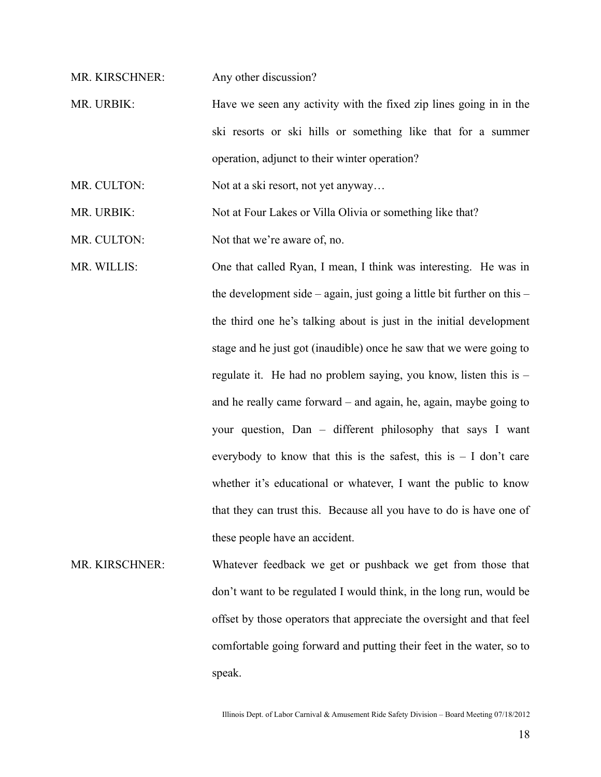MR. KIRSCHNER: Any other discussion?

MR. URBIK: Have we seen any activity with the fixed zip lines going in in the ski resorts or ski hills or something like that for a summer operation, adjunct to their winter operation?

MR. CULTON: Not at a ski resort, not yet anyway...

MR. URBIK: Not at Four Lakes or Villa Olivia or something like that?

MR. CULTON: Not that we're aware of, no.

MR. WILLIS: One that called Ryan, I mean, I think was interesting. He was in the development side – again, just going a little bit further on this – the third one he's talking about is just in the initial development stage and he just got (inaudible) once he saw that we were going to regulate it. He had no problem saying, you know, listen this is – and he really came forward – and again, he, again, maybe going to your question, Dan – different philosophy that says I want everybody to know that this is the safest, this  $is - I$  don't care whether it's educational or whatever, I want the public to know that they can trust this. Because all you have to do is have one of these people have an accident.

MR. KIRSCHNER: Whatever feedback we get or pushback we get from those that don't want to be regulated I would think, in the long run, would be offset by those operators that appreciate the oversight and that feel comfortable going forward and putting their feet in the water, so to speak.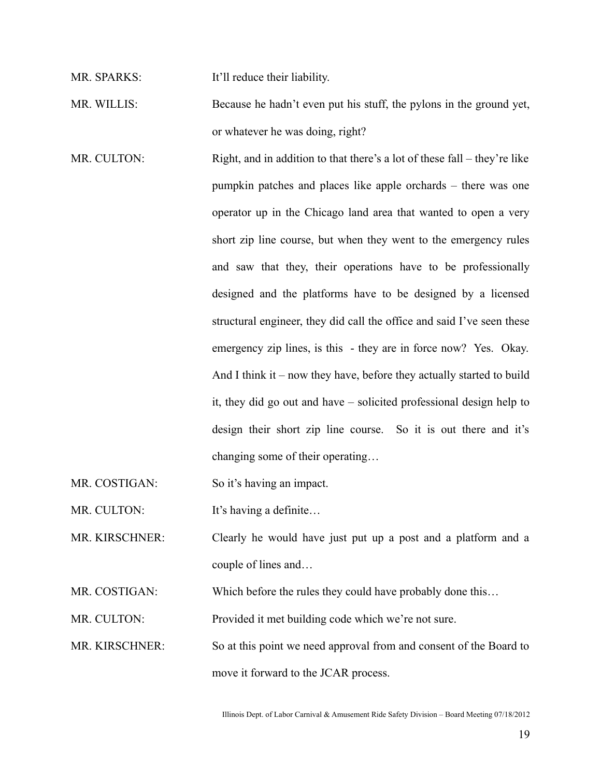MR. SPARKS: It'll reduce their liability.

MR. WILLIS: Because he hadn't even put his stuff, the pylons in the ground yet, or whatever he was doing, right?

MR. CULTON: Right, and in addition to that there's a lot of these fall – they're like pumpkin patches and places like apple orchards – there was one operator up in the Chicago land area that wanted to open a very short zip line course, but when they went to the emergency rules and saw that they, their operations have to be professionally designed and the platforms have to be designed by a licensed structural engineer, they did call the office and said I've seen these emergency zip lines, is this - they are in force now? Yes. Okay. And I think it – now they have, before they actually started to build it, they did go out and have – solicited professional design help to design their short zip line course. So it is out there and it's changing some of their operating…

MR. COSTIGAN: So it's having an impact.

MR. CULTON: It's having a definite...

MR. KIRSCHNER: Clearly he would have just put up a post and a platform and a couple of lines and…

MR. COSTIGAN: Which before the rules they could have probably done this...

MR. CULTON: Provided it met building code which we're not sure.

MR. KIRSCHNER: So at this point we need approval from and consent of the Board to move it forward to the JCAR process.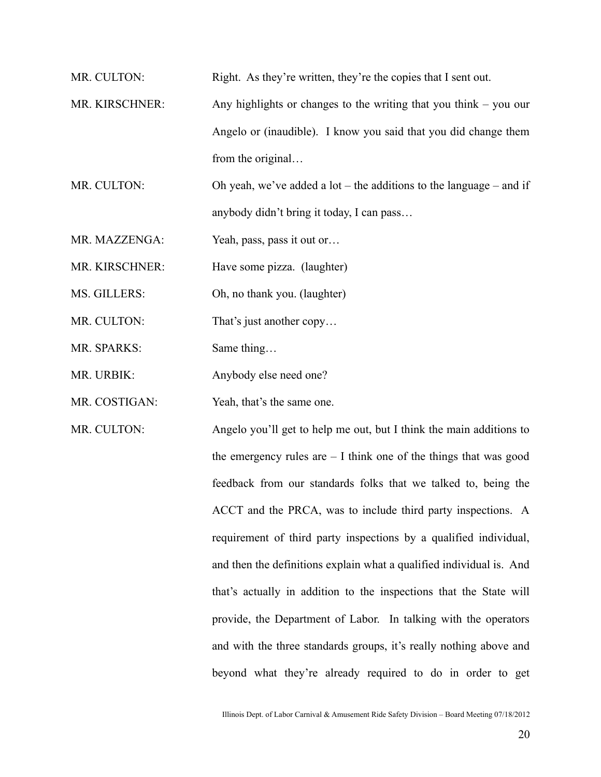MR. CULTON: Right. As they're written, they're the copies that I sent out.

MR. KIRSCHNER: Any highlights or changes to the writing that you think – you our Angelo or (inaudible). I know you said that you did change them from the original…

MR. CULTON: Oh yeah, we've added a lot – the additions to the language – and if anybody didn't bring it today, I can pass…

MR. MAZZENGA: Yeah, pass, pass it out or...

MR. KIRSCHNER: Have some pizza. (laughter)

MS. GILLERS: Oh, no thank you. (laughter)

MR. CULTON: That's just another copy...

MR. SPARKS: Same thing...

MR. URBIK: Anybody else need one?

MR. COSTIGAN: Yeah, that's the same one.

MR. CULTON: Angelo you'll get to help me out, but I think the main additions to the emergency rules are – I think one of the things that was good feedback from our standards folks that we talked to, being the ACCT and the PRCA, was to include third party inspections. A requirement of third party inspections by a qualified individual, and then the definitions explain what a qualified individual is. And that's actually in addition to the inspections that the State will provide, the Department of Labor. In talking with the operators and with the three standards groups, it's really nothing above and

beyond what they're already required to do in order to get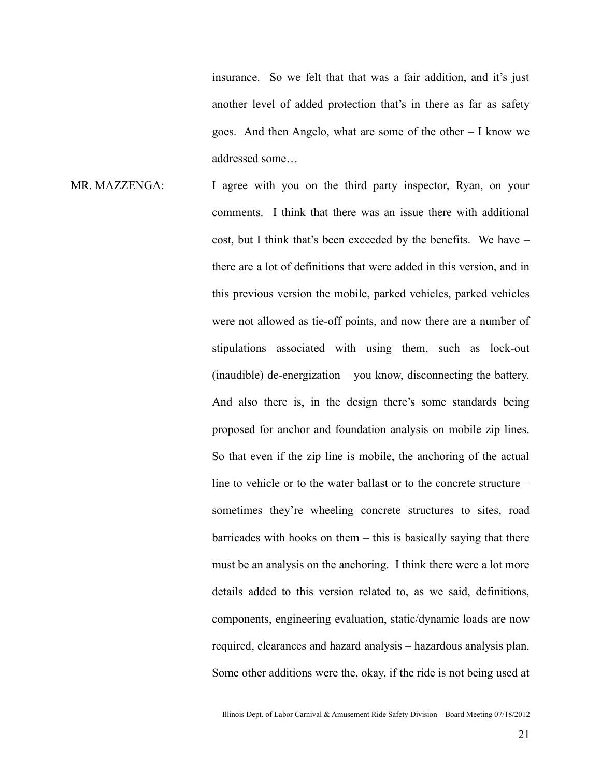insurance. So we felt that that was a fair addition, and it's just another level of added protection that's in there as far as safety goes. And then Angelo, what are some of the other – I know we addressed some…

MR. MAZZENGA: I agree with you on the third party inspector, Ryan, on your comments. I think that there was an issue there with additional cost, but I think that's been exceeded by the benefits. We have – there are a lot of definitions that were added in this version, and in this previous version the mobile, parked vehicles, parked vehicles were not allowed as tie-off points, and now there are a number of stipulations associated with using them, such as lock-out (inaudible) de-energization – you know, disconnecting the battery. And also there is, in the design there's some standards being proposed for anchor and foundation analysis on mobile zip lines. So that even if the zip line is mobile, the anchoring of the actual line to vehicle or to the water ballast or to the concrete structure – sometimes they're wheeling concrete structures to sites, road barricades with hooks on them – this is basically saying that there must be an analysis on the anchoring. I think there were a lot more details added to this version related to, as we said, definitions, components, engineering evaluation, static/dynamic loads are now required, clearances and hazard analysis – hazardous analysis plan. Some other additions were the, okay, if the ride is not being used at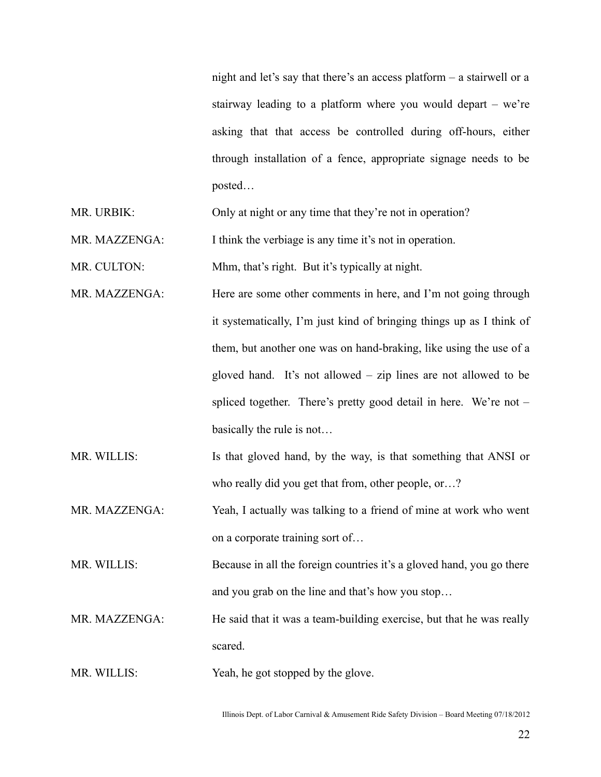night and let's say that there's an access platform – a stairwell or a stairway leading to a platform where you would depart – we're asking that that access be controlled during off-hours, either through installation of a fence, appropriate signage needs to be posted…

MR. URBIK: Only at night or any time that they're not in operation?

MR. MAZZENGA: I think the verbiage is any time it's not in operation.

MR. CULTON: Mhm, that's right. But it's typically at night.

- MR. MAZZENGA: Here are some other comments in here, and I'm not going through it systematically, I'm just kind of bringing things up as I think of them, but another one was on hand-braking, like using the use of a gloved hand. It's not allowed – zip lines are not allowed to be spliced together. There's pretty good detail in here. We're not – basically the rule is not…
- MR. WILLIS: Is that gloved hand, by the way, is that something that ANSI or who really did you get that from, other people, or…?

MR. MAZZENGA: Yeah, I actually was talking to a friend of mine at work who went on a corporate training sort of…

MR. WILLIS: Because in all the foreign countries it's a gloved hand, you go there and you grab on the line and that's how you stop…

MR. MAZZENGA: He said that it was a team-building exercise, but that he was really scared.

MR. WILLIS: Yeah, he got stopped by the glove.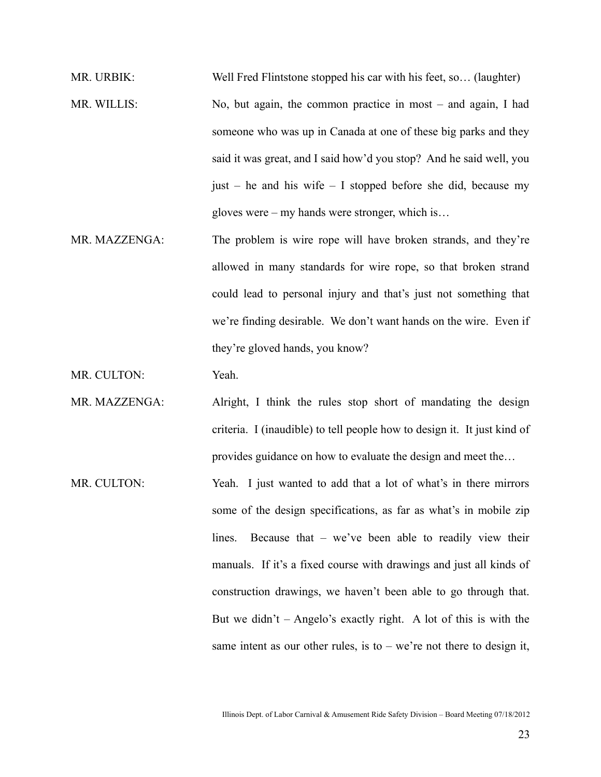MR. URBIK: Well Fred Flintstone stopped his car with his feet, so... (laughter) MR. WILLIS: No, but again, the common practice in most – and again, I had someone who was up in Canada at one of these big parks and they said it was great, and I said how'd you stop? And he said well, you just – he and his wife – I stopped before she did, because my gloves were – my hands were stronger, which is…

MR. MAZZENGA: The problem is wire rope will have broken strands, and they're allowed in many standards for wire rope, so that broken strand could lead to personal injury and that's just not something that we're finding desirable. We don't want hands on the wire. Even if they're gloved hands, you know?

MR. CULTON: Yeah.

- MR. MAZZENGA: Alright, I think the rules stop short of mandating the design criteria. I (inaudible) to tell people how to design it. It just kind of provides guidance on how to evaluate the design and meet the…
- MR. CULTON: Yeah. I just wanted to add that a lot of what's in there mirrors some of the design specifications, as far as what's in mobile zip lines. Because that – we've been able to readily view their manuals. If it's a fixed course with drawings and just all kinds of construction drawings, we haven't been able to go through that. But we didn't  $-$  Angelo's exactly right. A lot of this is with the same intent as our other rules, is to  $-$  we're not there to design it,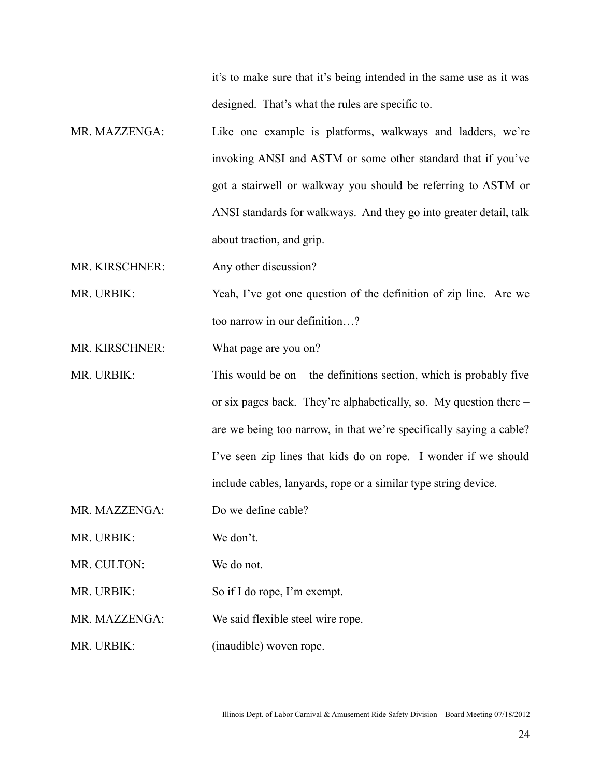it's to make sure that it's being intended in the same use as it was designed. That's what the rules are specific to.

MR. MAZZENGA: Like one example is platforms, walkways and ladders, we're invoking ANSI and ASTM or some other standard that if you've got a stairwell or walkway you should be referring to ASTM or ANSI standards for walkways. And they go into greater detail, talk about traction, and grip.

MR. KIRSCHNER: Any other discussion?

MR. URBIK: Yeah, I've got one question of the definition of zip line. Are we too narrow in our definition…?

MR. KIRSCHNER: What page are you on?

- MR. URBIK: This would be on the definitions section, which is probably five or six pages back. They're alphabetically, so. My question there – are we being too narrow, in that we're specifically saying a cable? I've seen zip lines that kids do on rope. I wonder if we should include cables, lanyards, rope or a similar type string device.
- MR. MAZZENGA: Do we define cable?
- MR. URBIK: We don't.
- MR. CULTON: We do not.
- MR. URBIK: So if I do rope, I'm exempt.
- MR. MAZZENGA: We said flexible steel wire rope.
- MR. URBIK: (inaudible) woven rope.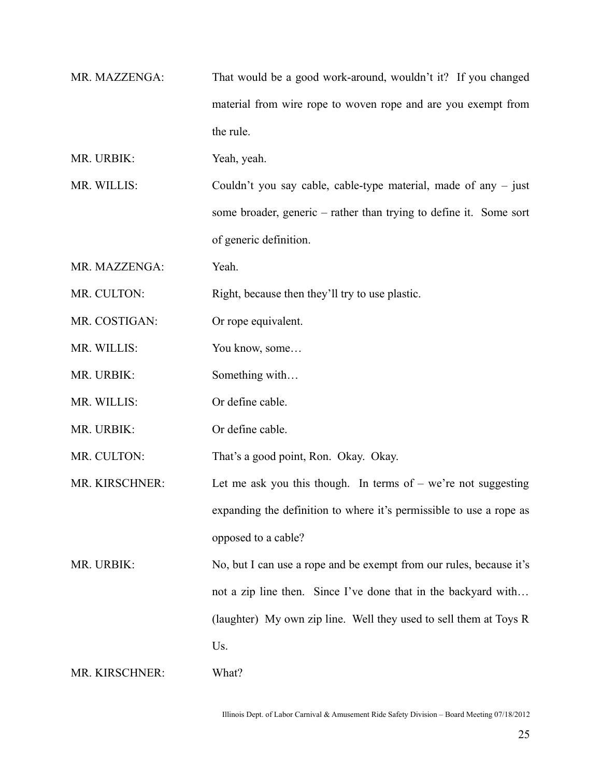- MR. MAZZENGA: That would be a good work-around, wouldn't it? If you changed material from wire rope to woven rope and are you exempt from the rule.
- MR. URBIK: Yeah, yeah.
- MR. WILLIS: Couldn't you say cable, cable-type material, made of any just some broader, generic – rather than trying to define it. Some sort of generic definition.
- MR. MAZZENGA: Yeah.
- MR. CULTON: Right, because then they'll try to use plastic.
- MR. COSTIGAN: Or rope equivalent.
- MR. WILLIS: You know, some...
- MR. URBIK: Something with...
- MR. WILLIS: Or define cable.
- MR. URBIK: Or define cable.

MR. CULTON: That's a good point, Ron. Okay. Okay.

- MR. KIRSCHNER: Let me ask you this though. In terms of  $-$  we're not suggesting expanding the definition to where it's permissible to use a rope as opposed to a cable?
- MR. URBIK: No, but I can use a rope and be exempt from our rules, because it's not a zip line then. Since I've done that in the backyard with… (laughter) My own zip line. Well they used to sell them at Toys R Us.

MR. KIRSCHNER: What?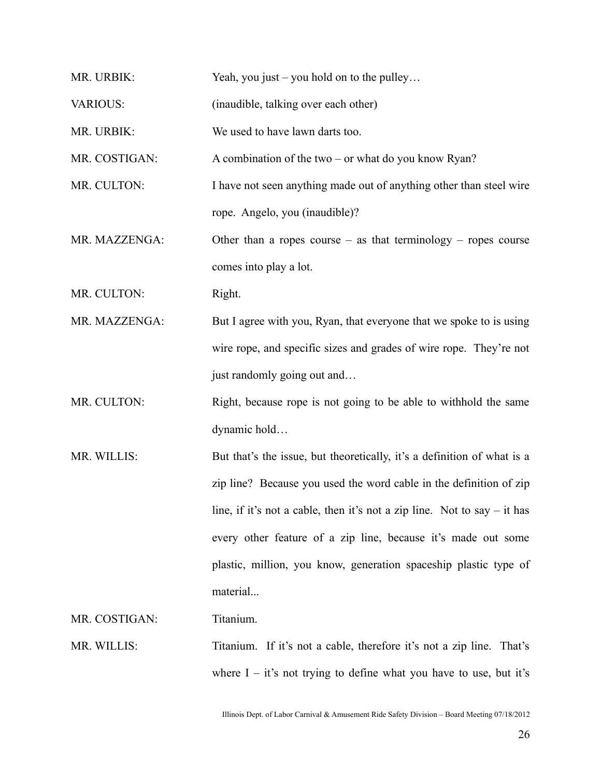| MR. URBIK:      | Yeah, you just $-$ you hold on to the pulley                               |
|-----------------|----------------------------------------------------------------------------|
| <b>VARIOUS:</b> | (inaudible, talking over each other)                                       |
| MR. URBIK:      | We used to have lawn darts too.                                            |
| MR. COSTIGAN:   | A combination of the two $-$ or what do you know Ryan?                     |
| MR. CULTON:     | I have not seen anything made out of anything other than steel wire        |
|                 | rope. Angelo, you (inaudible)?                                             |
| MR. MAZZENGA:   | Other than a ropes course $-$ as that terminology $-$ ropes course         |
|                 | comes into play a lot.                                                     |
| MR. CULTON:     | Right.                                                                     |
| MR. MAZZENGA:   | But I agree with you, Ryan, that everyone that we spoke to is using        |
|                 | wire rope, and specific sizes and grades of wire rope. They're not         |
|                 | just randomly going out and                                                |
| MR. CULTON:     | Right, because rope is not going to be able to withhold the same           |
|                 | dynamic hold                                                               |
| MR. WILLIS:     | But that's the issue, but theoretically, it's a definition of what is a    |
|                 | zip line? Because you used the word cable in the definition of zip         |
|                 | line, if it's not a cable, then it's not a zip line. Not to say $-$ it has |
|                 | every other feature of a zip line, because it's made out some              |
|                 | plastic, million, you know, generation spaceship plastic type of           |
|                 | material                                                                   |
| MR. COSTIGAN:   | Titanium.                                                                  |
| MR. WILLIS:     | Titanium. If it's not a cable, therefore it's not a zip line. That's       |
|                 | where $I - it's$ not trying to define what you have to use, but it's       |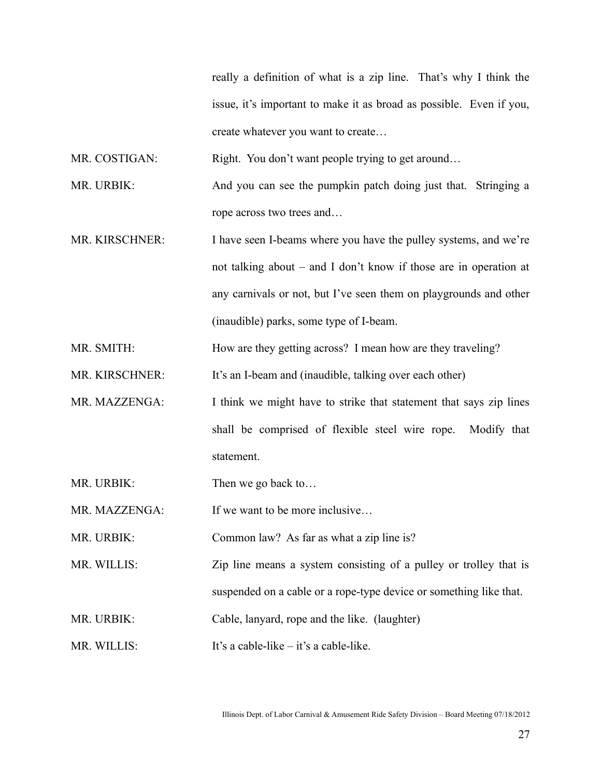really a definition of what is a zip line. That's why I think the issue, it's important to make it as broad as possible. Even if you, create whatever you want to create…

MR. COSTIGAN: Right. You don't want people trying to get around…

MR. URBIK: And you can see the pumpkin patch doing just that. Stringing a rope across two trees and…

MR. KIRSCHNER: I have seen I-beams where you have the pulley systems, and we're not talking about – and I don't know if those are in operation at any carnivals or not, but I've seen them on playgrounds and other (inaudible) parks, some type of I-beam.

MR. SMITH: How are they getting across? I mean how are they traveling?

MR. KIRSCHNER: It's an I-beam and (inaudible, talking over each other)

MR. MAZZENGA: I think we might have to strike that statement that says zip lines shall be comprised of flexible steel wire rope. Modify that statement.

MR. URBIK: Then we go back to...

MR. MAZZENGA: If we want to be more inclusive...

MR. URBIK: Common law? As far as what a zip line is?

MR. WILLIS: Zip line means a system consisting of a pulley or trolley that is suspended on a cable or a rope-type device or something like that.

MR. URBIK: Cable, lanyard, rope and the like. (laughter)

MR. WILLIS: It's a cable-like – it's a cable-like.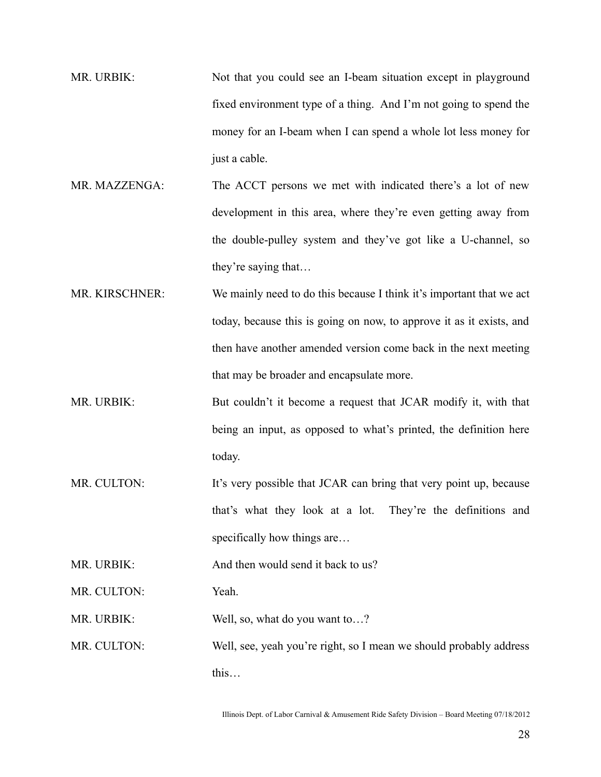- MR. URBIK: Not that you could see an I-beam situation except in playground fixed environment type of a thing. And I'm not going to spend the money for an I-beam when I can spend a whole lot less money for just a cable.
- MR. MAZZENGA: The ACCT persons we met with indicated there's a lot of new development in this area, where they're even getting away from the double-pulley system and they've got like a U-channel, so they're saying that…
- MR. KIRSCHNER: We mainly need to do this because I think it's important that we act today, because this is going on now, to approve it as it exists, and then have another amended version come back in the next meeting that may be broader and encapsulate more.
- MR. URBIK: But couldn't it become a request that JCAR modify it, with that being an input, as opposed to what's printed, the definition here today.
- MR. CULTON: It's very possible that JCAR can bring that very point up, because that's what they look at a lot. They're the definitions and specifically how things are...

MR. URBIK: And then would send it back to us?

MR. CULTON: Yeah.

MR. URBIK: Well, so, what do you want to...?

MR. CULTON: Well, see, yeah you're right, so I mean we should probably address this…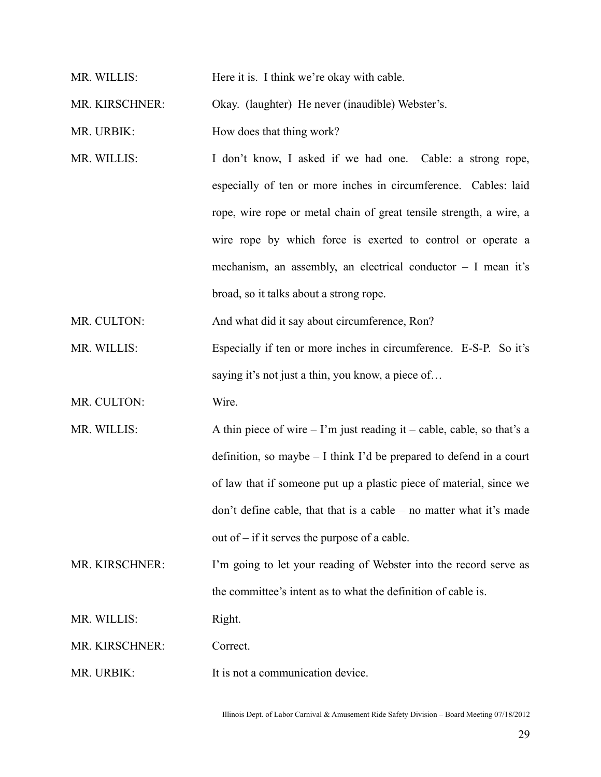MR. WILLIS: Here it is. I think we're okay with cable.

MR. KIRSCHNER: Okay. (laughter) He never (inaudible) Webster's.

MR. URBIK: How does that thing work?

MR. WILLIS: I don't know, I asked if we had one. Cable: a strong rope, especially of ten or more inches in circumference. Cables: laid rope, wire rope or metal chain of great tensile strength, a wire, a wire rope by which force is exerted to control or operate a mechanism, an assembly, an electrical conductor – I mean it's broad, so it talks about a strong rope.

MR. CULTON: And what did it say about circumference, Ron?

MR. WILLIS: Especially if ten or more inches in circumference. E-S-P. So it's saying it's not just a thin, you know, a piece of...

MR. CULTON: Wire.

MR. WILLIS:  $\Delta \text{ thin piece of wire} - \text{I'm just reading it} - \text{cable, cable, so that's a}$ definition, so maybe – I think I'd be prepared to defend in a court of law that if someone put up a plastic piece of material, since we don't define cable, that that is a cable – no matter what it's made out of – if it serves the purpose of a cable.

MR. KIRSCHNER: I'm going to let your reading of Webster into the record serve as the committee's intent as to what the definition of cable is.

MR. WILLIS: Right.

MR. KIRSCHNER: Correct.

MR. URBIK: It is not a communication device.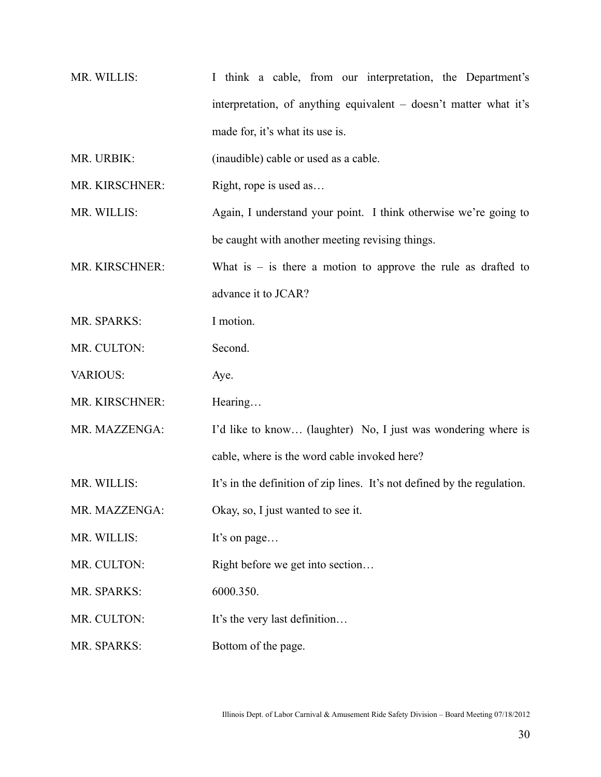MR. WILLIS: I think a cable, from our interpretation, the Department's interpretation, of anything equivalent – doesn't matter what it's made for, it's what its use is.

MR. URBIK: (inaudible) cable or used as a cable.

MR. KIRSCHNER: Right, rope is used as...

MR. WILLIS: Again, I understand your point. I think otherwise we're going to be caught with another meeting revising things.

MR. KIRSCHNER: What is  $-$  is there a motion to approve the rule as drafted to advance it to JCAR?

MR. SPARKS: I motion.

MR. CULTON: Second.

VARIOUS: Aye.

MR. KIRSCHNER: Hearing...

MR. MAZZENGA: I'd like to know... (laughter) No, I just was wondering where is

cable, where is the word cable invoked here?

MR. WILLIS: It's in the definition of zip lines. It's not defined by the regulation.

MR. MAZZENGA: Okay, so, I just wanted to see it.

MR. WILLIS: It's on page...

MR. CULTON: Right before we get into section...

MR. SPARKS: 6000.350.

MR. CULTON: It's the very last definition…

MR. SPARKS: Bottom of the page.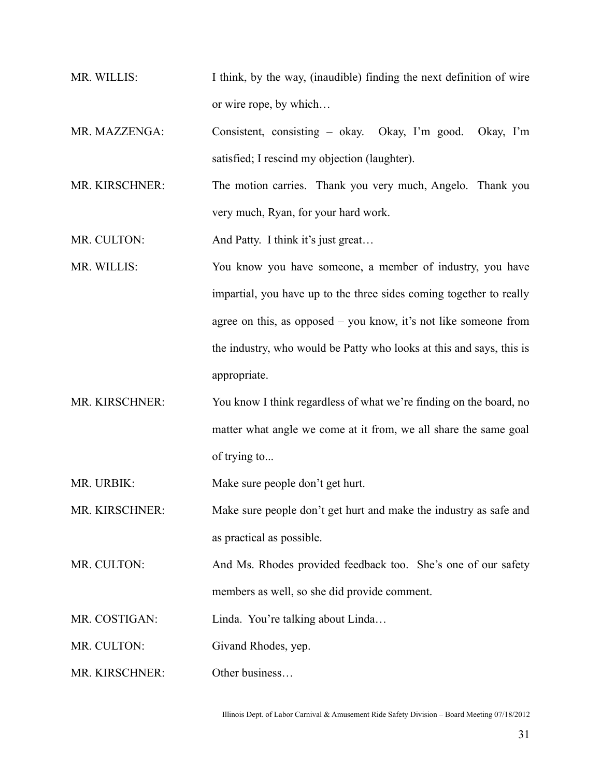- MR. WILLIS: I think, by the way, (inaudible) finding the next definition of wire or wire rope, by which…
- MR. MAZZENGA: Consistent, consisting okay. Okay, I'm good. Okay, I'm satisfied; I rescind my objection (laughter).
- MR. KIRSCHNER: The motion carries. Thank you very much, Angelo. Thank you very much, Ryan, for your hard work.

MR. CULTON: And Patty. I think it's just great...

- MR. WILLIS: You know you have someone, a member of industry, you have impartial, you have up to the three sides coming together to really agree on this, as opposed – you know, it's not like someone from the industry, who would be Patty who looks at this and says, this is appropriate.
- MR. KIRSCHNER: You know I think regardless of what we're finding on the board, no matter what angle we come at it from, we all share the same goal of trying to...

MR. URBIK: Make sure people don't get hurt.

MR. KIRSCHNER: Make sure people don't get hurt and make the industry as safe and as practical as possible.

MR. CULTON: And Ms. Rhodes provided feedback too. She's one of our safety members as well, so she did provide comment.

MR. COSTIGAN: Linda. You're talking about Linda...

MR. CULTON: Givand Rhodes, yep.

MR. KIRSCHNER: Other business…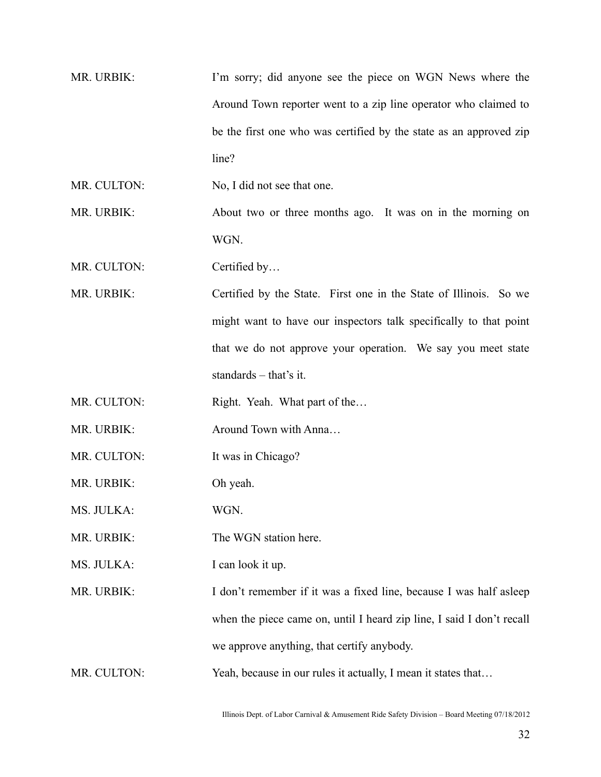MR. URBIK: I'm sorry; did anyone see the piece on WGN News where the Around Town reporter went to a zip line operator who claimed to be the first one who was certified by the state as an approved zip line?

MR. CULTON: No, I did not see that one.

MR. URBIK: About two or three months ago. It was on in the morning on WGN.

MR. CULTON: Certified by...

MR. URBIK: Certified by the State. First one in the State of Illinois. So we might want to have our inspectors talk specifically to that point that we do not approve your operation. We say you meet state standards – that's it.

MR. CULTON: Right. Yeah. What part of the...

MR. URBIK: Around Town with Anna...

MR. CULTON: It was in Chicago?

MR. URBIK: Oh yeah.

MS. JULKA: WGN.

MR. URBIK: The WGN station here.

MS. JULKA: I can look it up.

MR. URBIK: I don't remember if it was a fixed line, because I was half asleep when the piece came on, until I heard zip line, I said I don't recall we approve anything, that certify anybody.

MR. CULTON: Yeah, because in our rules it actually, I mean it states that...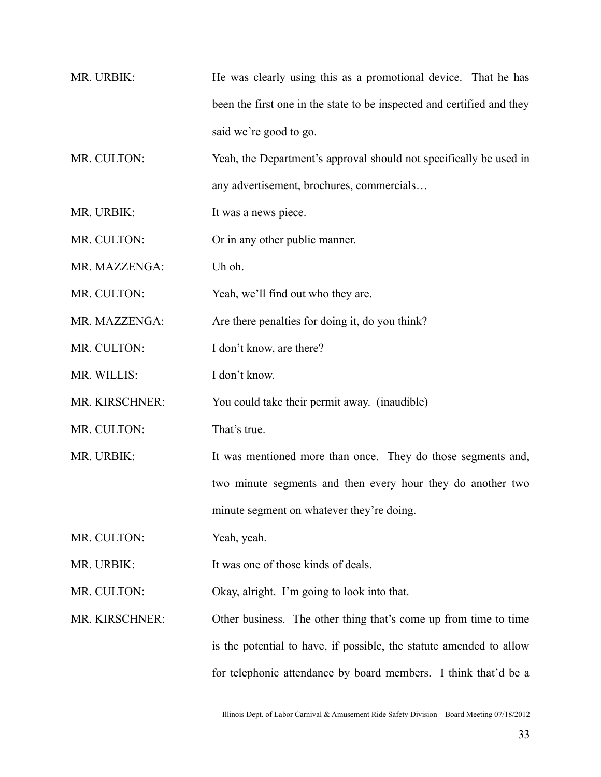MR. URBIK: He was clearly using this as a promotional device. That he has been the first one in the state to be inspected and certified and they said we're good to go.

MR. CULTON: Yeah, the Department's approval should not specifically be used in any advertisement, brochures, commercials…

MR. URBIK: It was a news piece.

MR. CULTON: Or in any other public manner.

MR. MAZZENGA: Uh oh.

MR. CULTON: Yeah, we'll find out who they are.

MR. MAZZENGA: Are there penalties for doing it, do you think?

MR. CULTON: I don't know, are there?

MR. WILLIS: I don't know.

MR. KIRSCHNER: You could take their permit away. (inaudible)

MR. CULTON: That's true.

MR. URBIK: It was mentioned more than once. They do those segments and, two minute segments and then every hour they do another two minute segment on whatever they're doing.

MR. CULTON: Yeah, yeah.

MR. URBIK: It was one of those kinds of deals.

MR. CULTON: Okay, alright. I'm going to look into that.

MR. KIRSCHNER: Other business. The other thing that's come up from time to time is the potential to have, if possible, the statute amended to allow for telephonic attendance by board members. I think that'd be a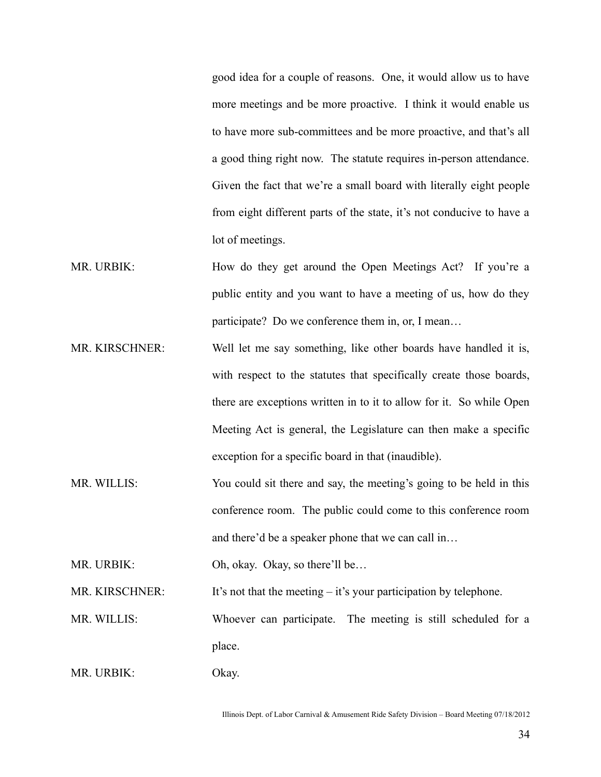good idea for a couple of reasons. One, it would allow us to have more meetings and be more proactive. I think it would enable us to have more sub-committees and be more proactive, and that's all a good thing right now. The statute requires in-person attendance. Given the fact that we're a small board with literally eight people from eight different parts of the state, it's not conducive to have a lot of meetings.

- MR. URBIK: How do they get around the Open Meetings Act? If you're a public entity and you want to have a meeting of us, how do they participate? Do we conference them in, or, I mean…
- MR. KIRSCHNER: Well let me say something, like other boards have handled it is, with respect to the statutes that specifically create those boards, there are exceptions written in to it to allow for it. So while Open Meeting Act is general, the Legislature can then make a specific exception for a specific board in that (inaudible).
- MR. WILLIS: You could sit there and say, the meeting's going to be held in this conference room. The public could come to this conference room and there'd be a speaker phone that we can call in…

MR. URBIK: Oh, okay. Okay, so there'll be...

MR. KIRSCHNER: It's not that the meeting  $-$  it's your participation by telephone.

MR. WILLIS: Whoever can participate. The meeting is still scheduled for a place.

MR. URBIK: Okay.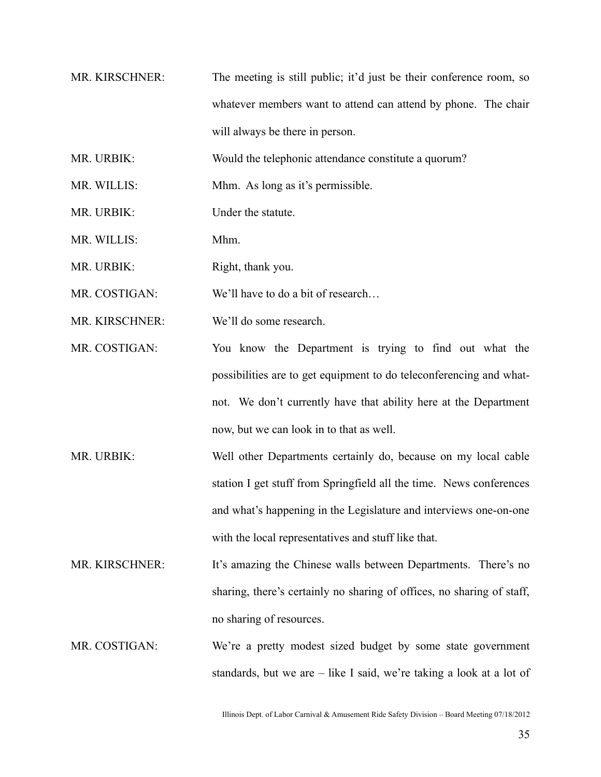- MR. KIRSCHNER: The meeting is still public; it'd just be their conference room, so whatever members want to attend can attend by phone. The chair will always be there in person.
- MR. URBIK: Would the telephonic attendance constitute a quorum?
- MR. WILLIS: Mhm. As long as it's permissible.
- MR. URBIK: Under the statute
- MR. WILLIS: Mhm.
- MR. URBIK: Right, thank you.
- MR. COSTIGAN: We'll have to do a bit of research...
- MR. KIRSCHNER: We'll do some research.
- MR. COSTIGAN: You know the Department is trying to find out what the possibilities are to get equipment to do teleconferencing and whatnot. We don't currently have that ability here at the Department now, but we can look in to that as well.
- MR. URBIK: Well other Departments certainly do, because on my local cable station I get stuff from Springfield all the time. News conferences and what's happening in the Legislature and interviews one-on-one with the local representatives and stuff like that.
- MR. KIRSCHNER: It's amazing the Chinese walls between Departments. There's no sharing, there's certainly no sharing of offices, no sharing of staff, no sharing of resources.
- MR. COSTIGAN: We're a pretty modest sized budget by some state government standards, but we are – like I said, we're taking a look at a lot of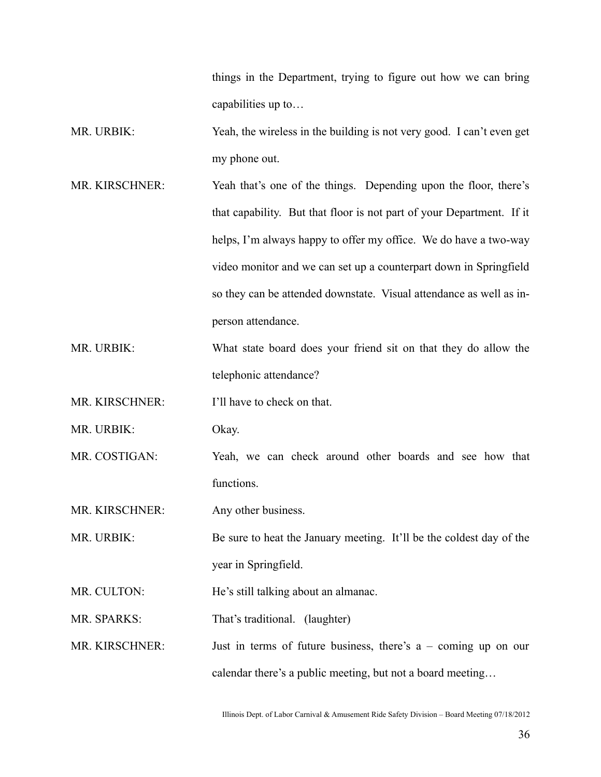things in the Department, trying to figure out how we can bring capabilities up to…

- MR. URBIK: Yeah, the wireless in the building is not very good. I can't even get my phone out.
- MR. KIRSCHNER: Yeah that's one of the things. Depending upon the floor, there's that capability. But that floor is not part of your Department. If it helps, I'm always happy to offer my office. We do have a two-way video monitor and we can set up a counterpart down in Springfield so they can be attended downstate. Visual attendance as well as inperson attendance.
- MR. URBIK: What state board does your friend sit on that they do allow the telephonic attendance?

MR. KIRSCHNER: I'll have to check on that.

MR. URBIK: Okay.

MR. COSTIGAN: Yeah, we can check around other boards and see how that functions.

MR. KIRSCHNER: Any other business.

MR. URBIK: Be sure to heat the January meeting. It'll be the coldest day of the year in Springfield.

MR. CULTON: He's still talking about an almanac.

MR. SPARKS: That's traditional. (laughter)

MR. KIRSCHNER: Just in terms of future business, there's a – coming up on our calendar there's a public meeting, but not a board meeting…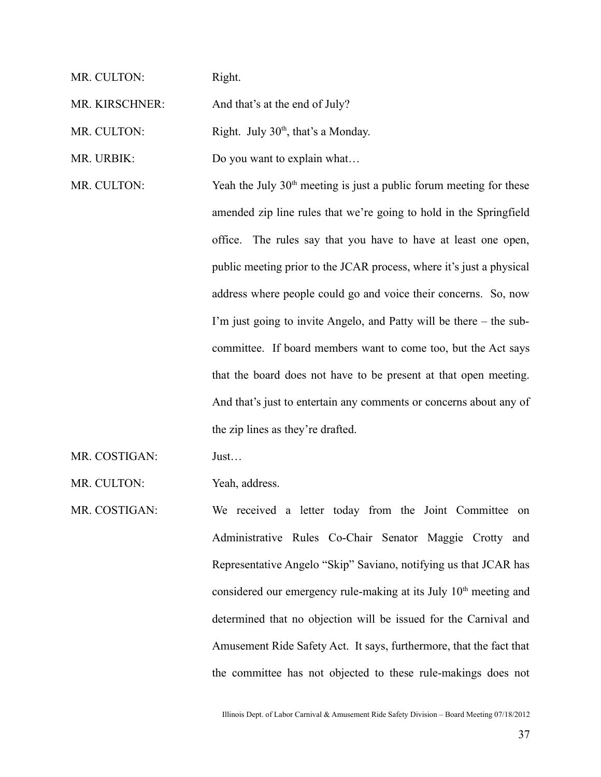| MR. CULTON:    | Right.                                                                |
|----------------|-----------------------------------------------------------------------|
| MR. KIRSCHNER: | And that's at the end of July?                                        |
| MR. CULTON:    | Right. July 30 <sup>th</sup> , that's a Monday.                       |
| MR. URBIK:     | Do you want to explain what                                           |
| MR. CULTON:    | Yeah the July $30th$ meeting is just a public forum meeting for these |
|                | amended zip line rules that we're going to hold in the Springfield    |
|                | office. The rules say that you have to have at least one open,        |
|                | public meeting prior to the JCAR process, where it's just a physical  |
|                | address where people could go and voice their concerns. So, now       |
|                | I'm just going to invite Angelo, and Patty will be there – the sub-   |
|                | committee. If board members want to come too, but the Act says        |
|                | that the board does not have to be present at that open meeting.      |
|                | And that's just to entertain any comments or concerns about any of    |
|                | the zip lines as they're drafted.                                     |
| MR. COSTIGAN:  | Just                                                                  |

MR. CULTON: Yeah, address.

MR. COSTIGAN: We received a letter today from the Joint Committee on Administrative Rules Co-Chair Senator Maggie Crotty and Representative Angelo "Skip" Saviano, notifying us that JCAR has considered our emergency rule-making at its July 10<sup>th</sup> meeting and determined that no objection will be issued for the Carnival and Amusement Ride Safety Act. It says, furthermore, that the fact that the committee has not objected to these rule-makings does not